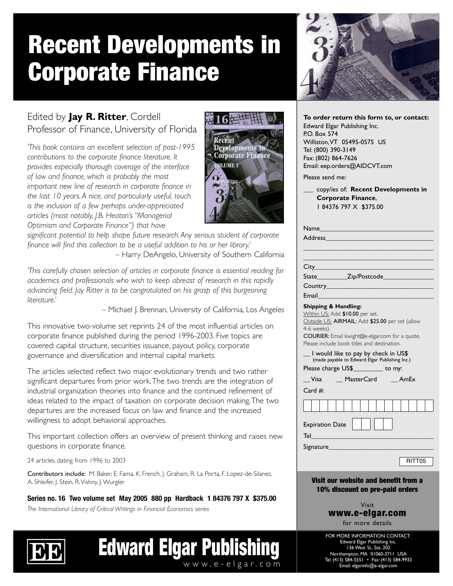# Recent Developments in Corporate Finance



## Edited by **Jay R. Ritter**, Cordell Professor of Finance, University of Florida

*'This book contains an excellent selection of post-1995 contributions to the corporate finance literature. It provides especially thorough coverage of the interface of law and finance, which is probably the most important new line of research in corporate finance in the last 10 years. A nice, and particularly useful, touch is the inclusion of a few perhaps under-appreciated articles (most notably, J.B. Heaton's "Managerial Optimism and Corporate Finance") that have*



*significant potential to help shape future research. Any serious student of corporate finance will find this collection to be a useful addition to his or her library.'* – Harry DeAngelo, University of Southern California

*'This carefully chosen selection of articles in corporate finance is essential reading for academics and professionals who wish to keep abreast of research in this rapidly advancing field. Jay Ritter is to be congratulated on his grasp of this burgeoning literature.'*

– Michael J. Brennan, University of California, Los Angeles

This innovative two-volume set reprints 24 of the most influential articles on corporate finance published during the period 1996-2003. Five topics are covered: capital structure, securities issuance, payout policy, corporate governance and diversification and internal capital markets.

The articles selected reflect two major evolutionary trends and two rather significant departures from prior work.The two trends are the integration of industrial organization theories into finance and the continued refinement of ideas related to the impact of taxation on corporate decision making.The two departures are the increased focus on law and finance and the increased willingness to adopt behavioral approaches.

This important collection offers an overview of present thinking and raises new questions in corporate finance.

24 articles, dating from 1996 to 2003

Contributors include: M. Baker, E. Fama, K. French, J. Graham, R. La Porta, F. Lopez-de-Silanes, A. Shleifer, J. Stein, R.Vishny, J.Wurgler

**Series no. 16 Two volume set May 2005 880 pp Hardback 1 84376 797 X \$375.00**

*The International Library of Critical Writings in Financial Economics series*



| <b>Edward Elgar Publishing</b> |
|--------------------------------|
| www.e-elgar.com                |

| To order return this form to, or contact: |  |  |  |  |
|-------------------------------------------|--|--|--|--|
| Edward Elgar Publishing Inc.              |  |  |  |  |
| P.O. Box 574                              |  |  |  |  |
| Williston, VT 05495-0575 US               |  |  |  |  |
| Tel: (800) 390-3149                       |  |  |  |  |
| Fax: (802) 864-7626                       |  |  |  |  |
| Email: eep.orders@AIDCVT.com              |  |  |  |  |
|                                           |  |  |  |  |

Please send me:

\_\_\_ copy/ies of: **Recent Developments in Corporate Finance**, 1 84376 797 X \$375.00

|                                 | Address                                             |  |  |
|---------------------------------|-----------------------------------------------------|--|--|
|                                 |                                                     |  |  |
|                                 |                                                     |  |  |
|                                 |                                                     |  |  |
|                                 |                                                     |  |  |
|                                 |                                                     |  |  |
|                                 | Email <b>Experience and Container and Container</b> |  |  |
| <b>Shipping &amp; Handling:</b> |                                                     |  |  |

Within US: Add \$10.00 per set. Outside US: AIRMAIL: Add \$25.00 per set (allow 4-6 weeks). COURIER: Email kwight@e-elgar.com for a quote.

Please include book titles and destination.

| I would like to pay by check in US\$<br>(made payable to Edward Elgar Publishing Inc.) |            |               |  |  |
|----------------------------------------------------------------------------------------|------------|---------------|--|--|
| Please charge US\$___________ to my:                                                   |            |               |  |  |
| Visa                                                                                   | MasterCard | <b>AmEx</b>   |  |  |
| Card $#$ :                                                                             |            |               |  |  |
|                                                                                        |            |               |  |  |
| <b>Expiration Date</b><br>Tel                                                          |            |               |  |  |
| Signature                                                                              |            |               |  |  |
|                                                                                        |            | <u>------</u> |  |  |

RITT05

Visit our website and benefit from a 10% discount on pre-paid orders

> Visit www.e-elgar.com for more details

FOR MORE INFORMATION CONTACT: Edward Elgar Publishing Inc. 136 West St., Ste. 202 Northampton, MA 01060-3711 USA Tel: (413) 584-5551 • Fax: (413) 584-9933 Email: elgarinfo@e-elgar.com